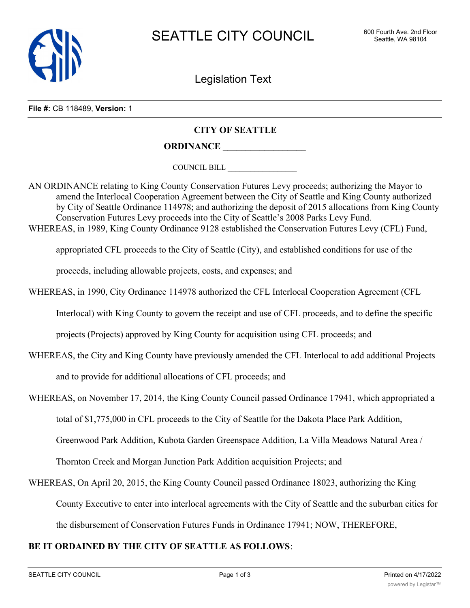

Legislation Text

**File #:** CB 118489, **Version:** 1

## **CITY OF SEATTLE**

**ORDINANCE \_\_\_\_\_\_\_\_\_\_\_\_\_\_\_\_\_\_**

COUNCIL BILL \_\_\_\_\_\_\_\_\_\_\_\_\_\_\_\_\_\_

AN ORDINANCE relating to King County Conservation Futures Levy proceeds; authorizing the Mayor to amend the Interlocal Cooperation Agreement between the City of Seattle and King County authorized by City of Seattle Ordinance 114978; and authorizing the deposit of 2015 allocations from King County Conservation Futures Levy proceeds into the City of Seattle's 2008 Parks Levy Fund. WHEREAS, in 1989, King County Ordinance 9128 established the Conservation Futures Levy (CFL) Fund,

appropriated CFL proceeds to the City of Seattle (City), and established conditions for use of the

proceeds, including allowable projects, costs, and expenses; and

WHEREAS, in 1990, City Ordinance 114978 authorized the CFL Interlocal Cooperation Agreement (CFL

Interlocal) with King County to govern the receipt and use of CFL proceeds, and to define the specific

projects (Projects) approved by King County for acquisition using CFL proceeds; and

WHEREAS, the City and King County have previously amended the CFL Interlocal to add additional Projects

and to provide for additional allocations of CFL proceeds; and

WHEREAS, on November 17, 2014, the King County Council passed Ordinance 17941, which appropriated a

total of \$1,775,000 in CFL proceeds to the City of Seattle for the Dakota Place Park Addition,

Greenwood Park Addition, Kubota Garden Greenspace Addition, La Villa Meadows Natural Area /

Thornton Creek and Morgan Junction Park Addition acquisition Projects; and

WHEREAS, On April 20, 2015, the King County Council passed Ordinance 18023, authorizing the King County Executive to enter into interlocal agreements with the City of Seattle and the suburban cities for the disbursement of Conservation Futures Funds in Ordinance 17941; NOW, THEREFORE,

## **BE IT ORDAINED BY THE CITY OF SEATTLE AS FOLLOWS**: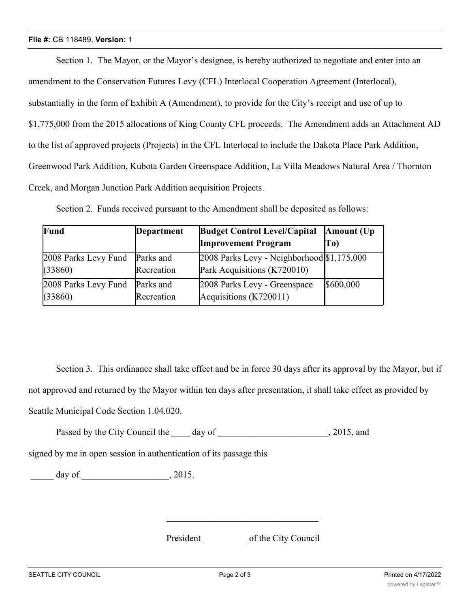## **File #:** CB 118489, **Version:** 1

Section 1. The Mayor, or the Mayor's designee, is hereby authorized to negotiate and enter into an amendment to the Conservation Futures Levy (CFL) Interlocal Cooperation Agreement (Interlocal), substantially in the form of Exhibit A (Amendment), to provide for the City's receipt and use of up to \$1,775,000 from the 2015 allocations of King County CFL proceeds. The Amendment adds an Attachment AD to the list of approved projects (Projects) in the CFL Interlocal to include the Dakota Place Park Addition, Greenwood Park Addition, Kubota Garden Greenspace Addition, La Villa Meadows Natural Area / Thornton Creek, and Morgan Junction Park Addition acquisition Projects.

| Fund                 | Department | <b>Budget Control Level/Capital</b>        | Amount (Up)    |
|----------------------|------------|--------------------------------------------|----------------|
|                      |            | <b>Improvement Program</b>                 | T <sub>0</sub> |
| 2008 Parks Levy Fund | Parks and  | 2008 Parks Levy - Neighborhood \$1,175,000 |                |
| (33860)              | Recreation | Park Acquisitions (K720010)                |                |
| 2008 Parks Levy Fund | Parks and  | 2008 Parks Levy - Greenspace               | \$600,000      |
| (33860)              | Recreation | Acquisitions (K720011)                     |                |

Section 2. Funds received pursuant to the Amendment shall be deposited as follows:

Section 3. This ordinance shall take effect and be in force 30 days after its approval by the Mayor, but if not approved and returned by the Mayor within ten days after presentation, it shall take effect as provided by Seattle Municipal Code Section 1.04.020.

Passed by the City Council the day of , 2015, and

signed by me in open session in authentication of its passage this

 $\frac{1}{2015}$  day of  $\frac{1}{2015}$ 

President of the City Council